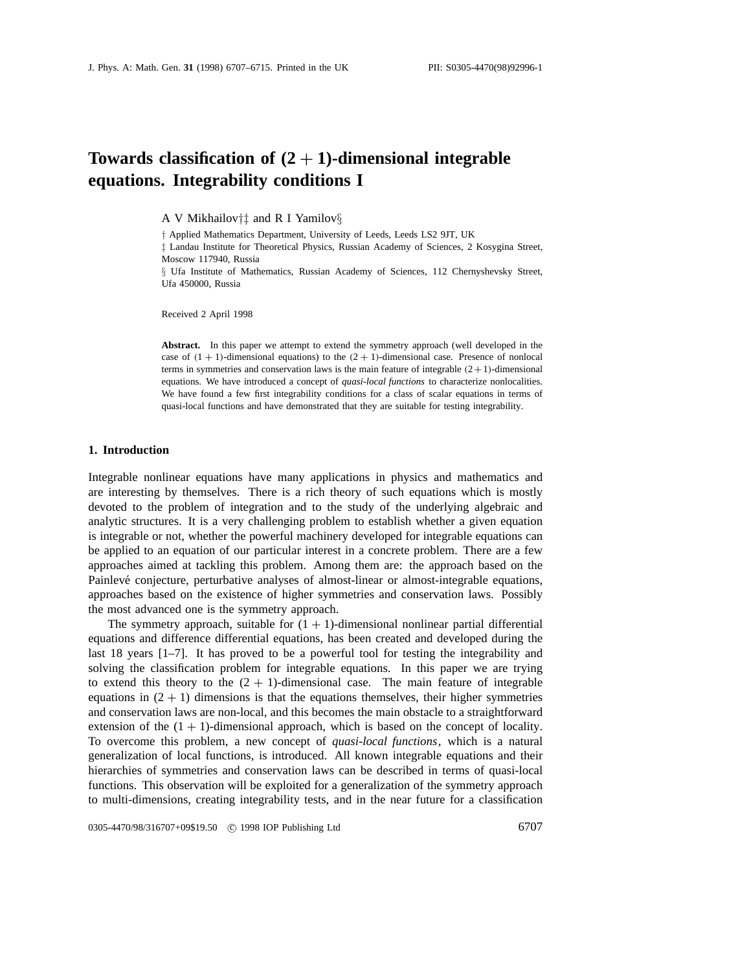# **Towards classification of (2** + **1)-dimensional integrable equations. Integrability conditions I**

A V Mikhailov*†‡* and R I Yamilov*§*

*†* Applied Mathematics Department, University of Leeds, Leeds LS2 9JT, UK

*‡* Landau Institute for Theoretical Physics, Russian Academy of Sciences, 2 Kosygina Street, Moscow 117940, Russia

*§* Ufa Institute of Mathematics, Russian Academy of Sciences, 112 Chernyshevsky Street, Ufa 450000, Russia

Received 2 April 1998

**Abstract.** In this paper we attempt to extend the symmetry approach (well developed in the case of  $(1 + 1)$ -dimensional equations) to the  $(2 + 1)$ -dimensional case. Presence of nonlocal terms in symmetries and conservation laws is the main feature of integrable  $(2+1)$ -dimensional equations. We have introduced a concept of *quasi-local functions* to characterize nonlocalities. We have found a few first integrability conditions for a class of scalar equations in terms of quasi-local functions and have demonstrated that they are suitable for testing integrability.

### **1. Introduction**

Integrable nonlinear equations have many applications in physics and mathematics and are interesting by themselves. There is a rich theory of such equations which is mostly devoted to the problem of integration and to the study of the underlying algebraic and analytic structures. It is a very challenging problem to establish whether a given equation is integrable or not, whether the powerful machinery developed for integrable equations can be applied to an equation of our particular interest in a concrete problem. There are a few approaches aimed at tackling this problem. Among them are: the approach based on the Painlevé conjecture, perturbative analyses of almost-linear or almost-integrable equations, approaches based on the existence of higher symmetries and conservation laws. Possibly the most advanced one is the symmetry approach.

The symmetry approach, suitable for  $(1 + 1)$ -dimensional nonlinear partial differential equations and difference differential equations, has been created and developed during the last 18 years [1–7]. It has proved to be a powerful tool for testing the integrability and solving the classification problem for integrable equations. In this paper we are trying to extend this theory to the  $(2 + 1)$ -dimensional case. The main feature of integrable equations in  $(2 + 1)$  dimensions is that the equations themselves, their higher symmetries and conservation laws are non-local, and this becomes the main obstacle to a straightforward extension of the  $(1 + 1)$ -dimensional approach, which is based on the concept of locality. To overcome this problem, a new concept of *quasi-local functions*, which is a natural generalization of local functions, is introduced. All known integrable equations and their hierarchies of symmetries and conservation laws can be described in terms of quasi-local functions. This observation will be exploited for a generalization of the symmetry approach to multi-dimensions, creating integrability tests, and in the near future for a classification

0305-4470/98/316707+09\$19.50 © 1998 IOP Publishing Ltd 6707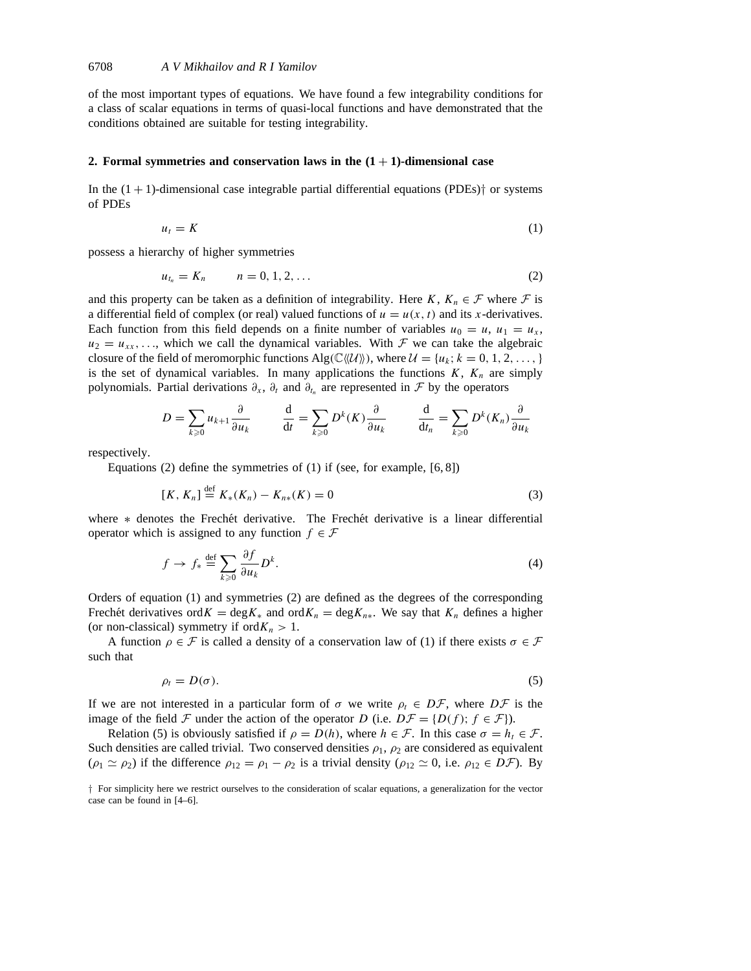of the most important types of equations. We have found a few integrability conditions for a class of scalar equations in terms of quasi-local functions and have demonstrated that the conditions obtained are suitable for testing integrability.

### **2. Formal symmetries and conservation laws in the**  $(1 + 1)$ **-dimensional case**

In the  $(1 + 1)$ -dimensional case integrable partial differential equations (PDEs)<sup> $\dagger$ </sup> or systems of PDEs

$$
u_t = K \tag{1}
$$

possess a hierarchy of higher symmetries

$$
u_{t_n} = K_n \qquad n = 0, 1, 2, \dots \tag{2}
$$

and this property can be taken as a definition of integrability. Here *K*,  $K_n \in \mathcal{F}$  where  $\mathcal{F}$  is a differential field of complex (or real) valued functions of  $u = u(x, t)$  and its *x*-derivatives. Each function from this field depends on a finite number of variables  $u_0 = u$ ,  $u_1 = u_x$ ,  $u_2 = u_{xx}, \ldots$ , which we call the dynamical variables. With  $\mathcal F$  we can take the algebraic closure of the field of meromorphic functions  $\text{Alg}(\mathbb{C}\langle\mathcal{U}\rangle)$ , where  $\mathcal{U} = \{u_k; k = 0, 1, 2, \dots\}$ is the set of dynamical variables. In many applications the functions  $K$ ,  $K_n$  are simply polynomials. Partial derivations  $\partial_x$ ,  $\partial_t$  and  $\partial_{t_n}$  are represented in  $\mathcal F$  by the operators

$$
D = \sum_{k \geq 0} u_{k+1} \frac{\partial}{\partial u_k} \qquad \frac{\mathrm{d}}{\mathrm{d}t} = \sum_{k \geq 0} D^k(K) \frac{\partial}{\partial u_k} \qquad \frac{\mathrm{d}}{\mathrm{d}t_n} = \sum_{k \geq 0} D^k(K_n) \frac{\partial}{\partial u_k}
$$

respectively.

Equations (2) define the symmetries of (1) if (see, for example, [6, 8])

$$
[K, K_n] \stackrel{\text{def}}{=} K_*(K_n) - K_{n*}(K) = 0 \tag{3}
$$

where \* denotes the Frechét derivative. The Frechét derivative is a linear differential operator which is assigned to any function  $f \in \mathcal{F}$ 

$$
f \to f_* \stackrel{\text{def}}{=} \sum_{k \ge 0} \frac{\partial f}{\partial u_k} D^k.
$$
 (4)

Orders of equation (1) and symmetries (2) are defined as the degrees of the corresponding Frechet derivatives ord  $K = \text{deg } K_*$  and ord  $K_n = \text{deg } K_{n*}$ . We say that  $K_n$  defines a higher (or non-classical) symmetry if ord $K_n > 1$ .

A function  $\rho \in \mathcal{F}$  is called a density of a conservation law of (1) if there exists  $\sigma \in \mathcal{F}$ such that

$$
\rho_t = D(\sigma). \tag{5}
$$

If we are not interested in a particular form of  $\sigma$  we write  $\rho_t \in D\mathcal{F}$ , where  $D\mathcal{F}$  is the image of the field  $\mathcal F$  under the action of the operator *D* (i.e.  $D\mathcal F = \{D(f); f \in \mathcal F\}$ ).

Relation (5) is obviously satisfied if  $\rho = D(h)$ , where  $h \in \mathcal{F}$ . In this case  $\sigma = h_t \in \mathcal{F}$ . Such densities are called trivial. Two conserved densities  $\rho_1$ ,  $\rho_2$  are considered as equivalent  $(\rho_1 \simeq \rho_2)$  if the difference  $\rho_{12} = \rho_1 - \rho_2$  is a trivial density  $(\rho_{12} \simeq 0, i.e. \rho_{12} \in D\mathcal{F})$ . By

*<sup>†</sup>* For simplicity here we restrict ourselves to the consideration of scalar equations, a generalization for the vector case can be found in [4–6].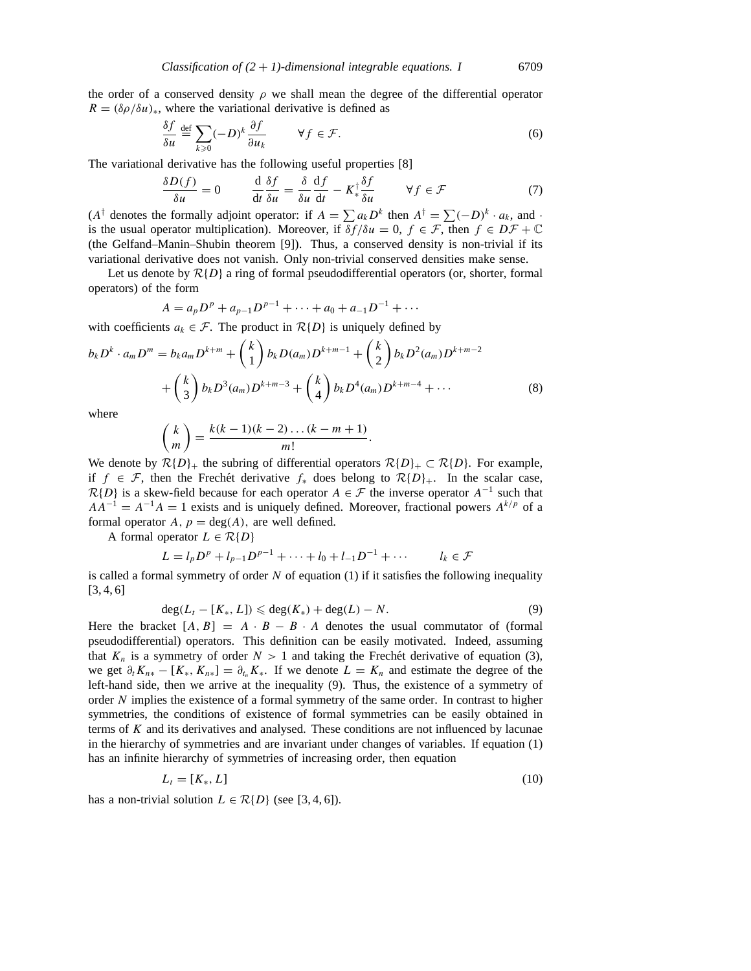the order of a conserved density  $\rho$  we shall mean the degree of the differential operator  $R = (\delta \rho / \delta u)_*,$  where the variational derivative is defined as

$$
\frac{\delta f}{\delta u} \stackrel{\text{def}}{=} \sum_{k \ge 0} (-D)^k \frac{\partial f}{\partial u_k} \qquad \forall f \in \mathcal{F}.\tag{6}
$$

The variational derivative has the following useful properties [8]

$$
\frac{\delta D(f)}{\delta u} = 0 \qquad \frac{\mathrm{d}}{\mathrm{d}t} \frac{\delta f}{\delta u} = \frac{\delta}{\delta u} \frac{\mathrm{d}f}{\mathrm{d}t} - K_{*}^{\dagger} \frac{\delta f}{\delta u} \qquad \forall f \in \mathcal{F} \tag{7}
$$

 $(A^{\dagger}$  denotes the formally adjoint operator: if  $A = \sum a_k D^k$  then  $A^{\dagger} = \sum (-D)^k \cdot a_k$ , and · is the usual operator multiplication). Moreover, if  $\delta f/\delta u = 0$ ,  $f \in \mathcal{F}$ , then  $f \in D\mathcal{F} + \mathbb{C}$ (the Gelfand–Manin–Shubin theorem [9]). Thus, a conserved density is non-trivial if its variational derivative does not vanish. Only non-trivial conserved densities make sense.

Let us denote by  $R\{D\}$  a ring of formal pseudodifferential operators (or, shorter, formal operators) of the form

$$
A = a_p D^p + a_{p-1} D^{p-1} + \dots + a_0 + a_{-1} D^{-1} + \dots
$$

with coefficients  $a_k \in \mathcal{F}$ . The product in  $\mathcal{R}\{D\}$  is uniquely defined by

$$
b_k D^k \cdot a_m D^m = b_k a_m D^{k+m} + {k \choose 1} b_k D(a_m) D^{k+m-1} + {k \choose 2} b_k D^2(a_m) D^{k+m-2} + {k \choose 3} b_k D^3(a_m) D^{k+m-3} + {k \choose 4} b_k D^4(a_m) D^{k+m-4} + \cdots
$$
\nwhere

\n(8)

where

$$
\binom{k}{m} = \frac{k(k-1)(k-2)\dots(k-m+1)}{m!}.
$$

We denote by  $\mathcal{R}{D}_+$  the subring of differential operators  $\mathcal{R}{D}_+ \subset \mathcal{R}{D}$ . For example, if  $f \in \mathcal{F}$ , then the Frechet derivative  $f_*$  does belong to  $\mathcal{R}{D}_+$ . In the scalar case,  $R{D}$  is a skew-field because for each operator *A* ∈ *F* the inverse operator *A*<sup>-1</sup> such that  $AA^{-1} = A^{-1}A = 1$  exists and is uniquely defined. Moreover, fractional powers  $A^{k/p}$  of a formal operator  $A, p = \deg(A)$ , are well defined.

A formal operator  $L \in \mathcal{R}{D}$ 

$$
L = l_p D^p + l_{p-1} D^{p-1} + \dots + l_0 + l_{-1} D^{-1} + \dots \qquad l_k \in \mathcal{F}
$$

is called a formal symmetry of order *N* of equation (1) if it satisfies the following inequality  $[3, 4, 6]$ 

$$
\deg(L_t - [K_*, L]) \leqslant \deg(K_*) + \deg(L) - N. \tag{9}
$$

Here the bracket  $[A, B] = A \cdot B - B \cdot A$  denotes the usual commutator of (formal pseudodifferential) operators. This definition can be easily motivated. Indeed, assuming that  $K_n$  is a symmetry of order  $N > 1$  and taking the Frechet derivative of equation (3), we get  $\partial_t K_{n*} - [K_*, K_{n*}] = \partial_{t_n} K_*$ . If we denote  $L = K_n$  and estimate the degree of the left-hand side, then we arrive at the inequality (9). Thus, the existence of a symmetry of order *N* implies the existence of a formal symmetry of the same order. In contrast to higher symmetries, the conditions of existence of formal symmetries can be easily obtained in terms of *K* and its derivatives and analysed. These conditions are not influenced by lacunae in the hierarchy of symmetries and are invariant under changes of variables. If equation (1) has an infinite hierarchy of symmetries of increasing order, then equation

$$
L_t = [K_*, L] \tag{10}
$$

has a non-trivial solution  $L \in \mathcal{R}{D}$  (see [3, 4, 6]).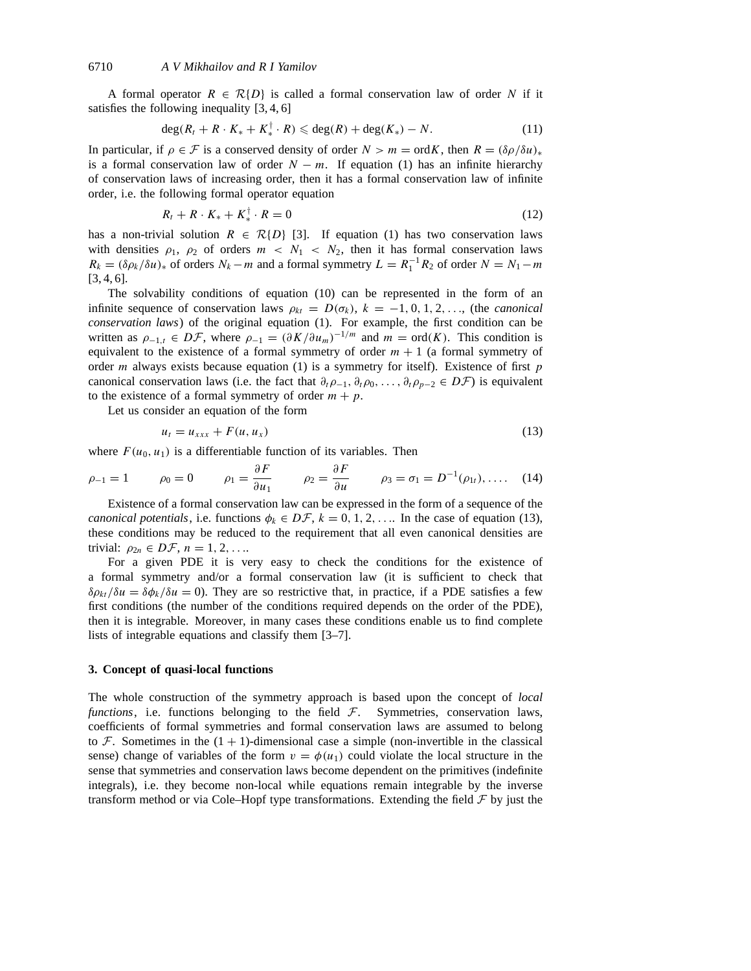A formal operator  $R \in \mathcal{R}{D}$  is called a formal conservation law of order N if it satisfies the following inequality [3, 4, 6]

$$
\deg(R_t + R \cdot K_* + K_*^{\dagger} \cdot R) \leqslant \deg(R) + \deg(K_*) - N. \tag{11}
$$

In particular, if  $\rho \in \mathcal{F}$  is a conserved density of order  $N > m = \text{ord}K$ , then  $R = (\delta \rho / \delta u)_*$ is a formal conservation law of order  $N - m$ . If equation (1) has an infinite hierarchy of conservation laws of increasing order, then it has a formal conservation law of infinite order, i.e. the following formal operator equation

$$
R_t + R \cdot K_* + K_*^{\dagger} \cdot R = 0 \tag{12}
$$

has a non-trivial solution  $R \in \mathcal{R}{D}$  [3]. If equation (1) has two conservation laws with densities  $\rho_1$ ,  $\rho_2$  of orders  $m < N_1 < N_2$ , then it has formal conservation laws  $R_k = (\delta \rho_k / \delta u)_*$  of orders  $N_k - m$  and a formal symmetry  $L = R_1^{-1} R_2$  of order  $N = N_1 - m$ [3, 4, 6].

The solvability conditions of equation (10) can be represented in the form of an infinite sequence of conservation laws  $\rho_{kt} = D(\sigma_k)$ ,  $k = -1, 0, 1, 2, \ldots$ , (the *canonical conservation laws*) of the original equation (1). For example, the first condition can be written as  $\rho_{-1,t} \in D\mathcal{F}$ , where  $\rho_{-1} = (\partial K/\partial u_m)^{-1/m}$  and  $m = \text{ord}(K)$ . This condition is equivalent to the existence of a formal symmetry of order  $m + 1$  (a formal symmetry of order *m* always exists because equation (1) is a symmetry for itself). Existence of first *p* canonical conservation laws (i.e. the fact that  $\partial_t \rho_{-1}, \partial_t \rho_0, \ldots, \partial_t \rho_{p-2} \in D\mathcal{F}$ ) is equivalent to the existence of a formal symmetry of order  $m + p$ .

Let us consider an equation of the form

$$
u_t = u_{xxx} + F(u, u_x) \tag{13}
$$

where  $F(u_0, u_1)$  is a differentiable function of its variables. Then

$$
\rho_{-1} = 1 \qquad \rho_0 = 0 \qquad \rho_1 = \frac{\partial F}{\partial u_1} \qquad \rho_2 = \frac{\partial F}{\partial u} \qquad \rho_3 = \sigma_1 = D^{-1}(\rho_{1t}), \ldots \quad (14)
$$

Existence of a formal conservation law can be expressed in the form of a sequence of the *canonical potentials*, i.e. functions  $\phi_k \in D\mathcal{F}$ ,  $k = 0, 1, 2, \ldots$  In the case of equation (13), these conditions may be reduced to the requirement that all even canonical densities are trivial:  $\rho_{2n} \in D\mathcal{F}$ ,  $n = 1, 2, \ldots$ 

For a given PDE it is very easy to check the conditions for the existence of a formal symmetry and/or a formal conservation law (it is sufficient to check that  $\delta \rho_{kt}/\delta u = \delta \phi_k/\delta u = 0$ ). They are so restrictive that, in practice, if a PDE satisfies a few first conditions (the number of the conditions required depends on the order of the PDE), then it is integrable. Moreover, in many cases these conditions enable us to find complete lists of integrable equations and classify them [3–7].

## **3. Concept of quasi-local functions**

The whole construction of the symmetry approach is based upon the concept of *local functions*, i.e. functions belonging to the field *F*. Symmetries, conservation laws, coefficients of formal symmetries and formal conservation laws are assumed to belong to  $\mathcal F$ . Sometimes in the  $(1 + 1)$ -dimensional case a simple (non-invertible in the classical sense) change of variables of the form  $v = \phi(u_1)$  could violate the local structure in the sense that symmetries and conservation laws become dependent on the primitives (indefinite integrals), i.e. they become non-local while equations remain integrable by the inverse transform method or via Cole–Hopf type transformations. Extending the field  $\mathcal F$  by just the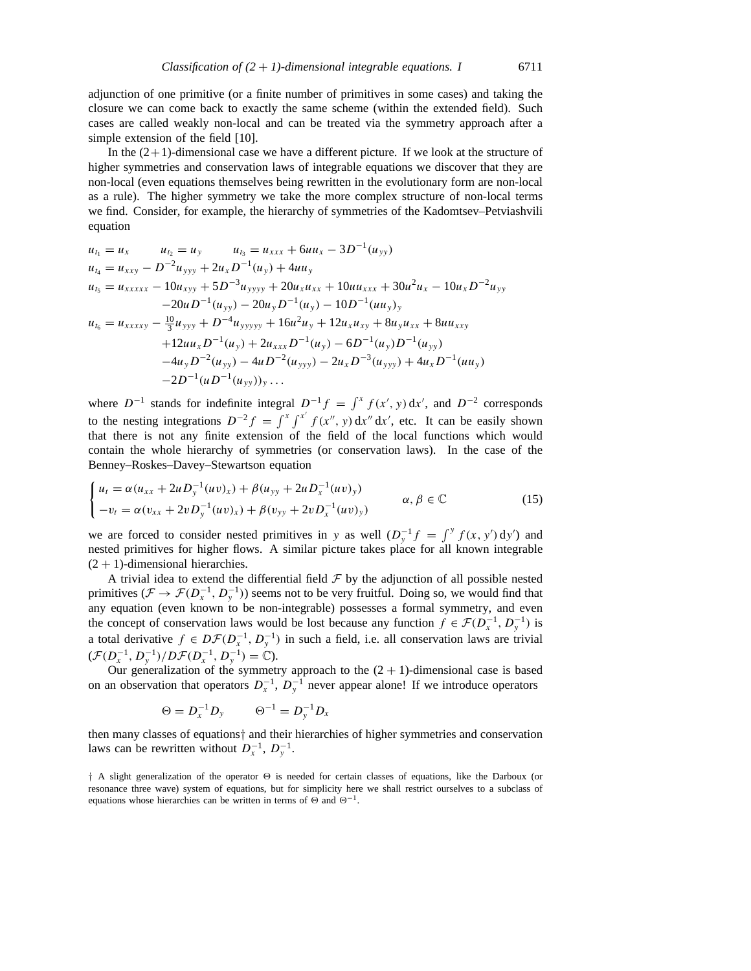adjunction of one primitive (or a finite number of primitives in some cases) and taking the closure we can come back to exactly the same scheme (within the extended field). Such cases are called weakly non-local and can be treated via the symmetry approach after a simple extension of the field [10].

In the  $(2+1)$ -dimensional case we have a different picture. If we look at the structure of higher symmetries and conservation laws of integrable equations we discover that they are non-local (even equations themselves being rewritten in the evolutionary form are non-local as a rule). The higher symmetry we take the more complex structure of non-local terms we find. Consider, for example, the hierarchy of symmetries of the Kadomtsev–Petviashvili equation

$$
u_{t_1} = u_x \t u_{t_2} = u_y \t u_{t_3} = u_{xxx} + 6uu_x - 3D^{-1}(u_{yy})
$$
  
\n
$$
u_{t_4} = u_{xxy} - D^{-2}u_{yyy} + 2u_xD^{-1}(u_y) + 4uu_y
$$
  
\n
$$
u_{t_5} = u_{xxxxx} - 10u_{xyy} + 5D^{-3}u_{yyyy} + 20u_xu_{xx} + 10uu_{xxx} + 30u^2u_x - 10u_xD^{-2}u_{yy}
$$
  
\n
$$
-20uD^{-1}(u_{yy}) - 20u_yD^{-1}(u_y) - 10D^{-1}(uu_y)_y
$$
  
\n
$$
u_{t_6} = u_{xxxxy} - \frac{10}{3}u_{yyy} + D^{-4}u_{yyyyy} + 16u^2u_y + 12u_xu_{xy} + 8u_yu_{xx} + 8uu_{xxy}
$$
  
\n
$$
+12uu_xD^{-1}(u_y) + 2u_{xxx}D^{-1}(u_y) - 6D^{-1}(u_y)D^{-1}(u_{yy})
$$
  
\n
$$
-4u_yD^{-2}(u_{yy}) - 4uD^{-2}(u_{yyy}) - 2u_xD^{-3}(u_{yyy}) + 4u_xD^{-1}(uu_y)
$$
  
\n
$$
-2D^{-1}(uD^{-1}(u_{yy}))_y \ldots
$$

where  $D^{-1}$  stands for indefinite integral  $D^{-1}f = \int^x f(x', y) dx'$ , and  $D^{-2}$  corresponds to the nesting integrations  $D^{-2}f = \int^x \int^{x'} f(x'', y) dx'' dx'$ , etc. It can be easily shown that there is not any finite extension of the field of the local functions which would contain the whole hierarchy of symmetries (or conservation laws). In the case of the Benney–Roskes–Davey–Stewartson equation

$$
\begin{cases}\n u_t = \alpha (u_{xx} + 2u D_y^{-1}(uv)_x) + \beta (u_{yy} + 2u D_x^{-1}(uv)_y) \\
-v_t = \alpha (v_{xx} + 2v D_y^{-1}(uv)_x) + \beta (v_{yy} + 2v D_x^{-1}(uv)_y)\n\end{cases}\n\alpha, \beta \in \mathbb{C}
$$
\n(15)

we are forced to consider nested primitives in *y* as well  $(D_y^{-1}f = \int^y f(x, y') dy')$  and nested primitives for higher flows. A similar picture takes place for all known integrable  $(2 + 1)$ -dimensional hierarchies.

A trivial idea to extend the differential field  $\mathcal F$  by the adjunction of all possible nested primitives ( $\mathcal{F} \to \mathcal{F}(D_x^{-1}, D_y^{-1})$ ) seems not to be very fruitful. Doing so, we would find that any equation (even known to be non-integrable) possesses a formal symmetry, and even the concept of conservation laws would be lost because any function  $f \in \mathcal{F}(D_x^{-1}, D_y^{-1})$  is a total derivative  $f \in D\mathcal{F}(D_{x}^{-1}, D_{y}^{-1})$  in such a field, i.e. all conservation laws are trivial  $(\mathcal{F}(D_{x}^{-1}, D_{y}^{-1})/D\mathcal{F}(D_{x}^{-1}, D_{y}^{-1}) = \mathbb{C}).$ 

Our generalization of the symmetry approach to the  $(2 + 1)$ -dimensional case is based on an observation that operators  $D_x^{-1}$ ,  $D_y^{-1}$  never appear alone! If we introduce operators

$$
\Theta = D_x^{-1} D_y \qquad \Theta^{-1} = D_y^{-1} D_x
$$

then many classes of equations*†* and their hierarchies of higher symmetries and conservation laws can be rewritten without  $D_x^{-1}$ ,  $D_y^{-1}$ .

*†* A slight generalization of the operator *2* is needed for certain classes of equations, like the Darboux (or resonance three wave) system of equations, but for simplicity here we shall restrict ourselves to a subclass of equations whose hierarchies can be written in terms of  $\Theta$  and  $\Theta^{-1}$ .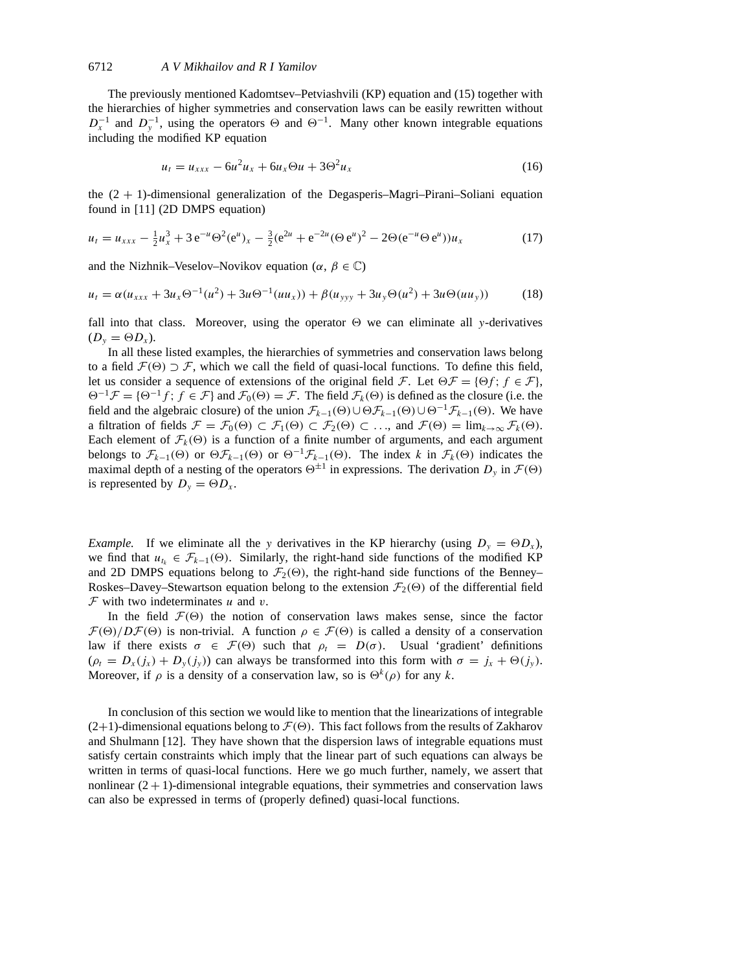#### 6712 *A V Mikhailov andRIYamilov*

The previously mentioned Kadomtsev–Petviashvili (KP) equation and (15) together with the hierarchies of higher symmetries and conservation laws can be easily rewritten without  $D_x^{-1}$  and  $D_y^{-1}$ , using the operators  $\Theta$  and  $\Theta^{-1}$ . Many other known integrable equations including the modified KP equation

$$
u_t = u_{xxx} - 6u^2 u_x + 6u_x \Theta u + 3\Theta^2 u_x \tag{16}
$$

the  $(2 + 1)$ -dimensional generalization of the Degasperis–Magri–Pirani–Soliani equation found in [11] (2D DMPS equation)

$$
u_t = u_{xxx} - \frac{1}{2}u_x^3 + 3 e^{-u} \Theta^2 (e^u)_x - \frac{3}{2} (e^{2u} + e^{-2u} (\Theta e^u))^2 - 2 \Theta (e^{-u} \Theta e^u)) u_x \tag{17}
$$

and the Nizhnik–Veselov–Novikov equation  $(\alpha, \beta \in \mathbb{C})$ 

$$
u_t = \alpha (u_{xxx} + 3u_x \Theta^{-1}(u^2) + 3u\Theta^{-1}(uu_x)) + \beta (u_{yyy} + 3u_y \Theta(u^2) + 3u\Theta(uu_y))
$$
 (18)

fall into that class. Moreover, using the operator  $\Theta$  we can eliminate all *y*-derivatives  $(D_{y} = \Theta D_{x}).$ 

In all these listed examples, the hierarchies of symmetries and conservation laws belong to a field  $\mathcal{F}(\Theta) \supset \mathcal{F}$ , which we call the field of quasi-local functions. To define this field, let us consider a sequence of extensions of the original field *F*. Let  $\Theta \mathcal{F} = {\Theta f; f \in \mathcal{F}}$ ,  $\Theta^{-1}\mathcal{F} = {\Theta^{-1}f; f \in \mathcal{F}}$  and  $\mathcal{F}_0(\Theta) = \mathcal{F}$ . The field  $\mathcal{F}_k(\Theta)$  is defined as the closure (i.e. the field and the algebraic closure) of the union  $\mathcal{F}_{k-1}(\Theta) \cup \Theta \mathcal{F}_{k-1}(\Theta) \cup \Theta^{-1} \mathcal{F}_{k-1}(\Theta)$ . We have a filtration of fields  $\mathcal{F} = \mathcal{F}_0(\Theta) \subset \mathcal{F}_1(\Theta) \subset \mathcal{F}_2(\Theta) \subset \dots$ , and  $\mathcal{F}(\Theta) = \lim_{k \to \infty} \mathcal{F}_k(\Theta)$ . Each element of  $\mathcal{F}_k(\Theta)$  is a function of a finite number of arguments, and each argument belongs to  $\mathcal{F}_{k-1}(\Theta)$  or  $\Theta \mathcal{F}_{k-1}(\Theta)$  or  $\Theta^{-1} \mathcal{F}_{k-1}(\Theta)$ . The index *k* in  $\mathcal{F}_k(\Theta)$  indicates the maximal depth of a nesting of the operators  $\Theta^{\pm 1}$  in expressions. The derivation  $D_\nu$  in  $\mathcal{F}(\Theta)$ is represented by  $D_y = \Theta D_x$ .

*Example.* If we eliminate all the *y* derivatives in the KP hierarchy (using  $D_y = \Theta D_x$ ), we find that  $u_{t_k} \in \mathcal{F}_{k-1}(\Theta)$ . Similarly, the right-hand side functions of the modified KP and 2D DMPS equations belong to  $\mathcal{F}_2(\Theta)$ , the right-hand side functions of the Benney– Roskes–Davey–Stewartson equation belong to the extension  $\mathcal{F}_2(\Theta)$  of the differential field *F* with two indeterminates *u* and *v*.

In the field  $\mathcal{F}(\Theta)$  the notion of conservation laws makes sense, since the factor  $\mathcal{F}(\Theta)/D\mathcal{F}(\Theta)$  is non-trivial. A function  $\rho \in \mathcal{F}(\Theta)$  is called a density of a conservation law if there exists *σ* ∈ *F*( $\Theta$ ) such that *ρ<sub>t</sub>* = *D*(*σ*). Usual 'gradient' definitions  $(\rho_t = D_x(j_x) + D_y(j_y))$  can always be transformed into this form with  $\sigma = j_x + \Theta(j_y)$ . Moreover, if  $\rho$  is a density of a conservation law, so is  $\Theta^k(\rho)$  for any k.

In conclusion of this section we would like to mention that the linearizations of integrable  $(2+1)$ -dimensional equations belong to  $\mathcal{F}(\Theta)$ . This fact follows from the results of Zakharov and Shulmann [12]. They have shown that the dispersion laws of integrable equations must satisfy certain constraints which imply that the linear part of such equations can always be written in terms of quasi-local functions. Here we go much further, namely, we assert that nonlinear  $(2 + 1)$ -dimensional integrable equations, their symmetries and conservation laws can also be expressed in terms of (properly defined) quasi-local functions.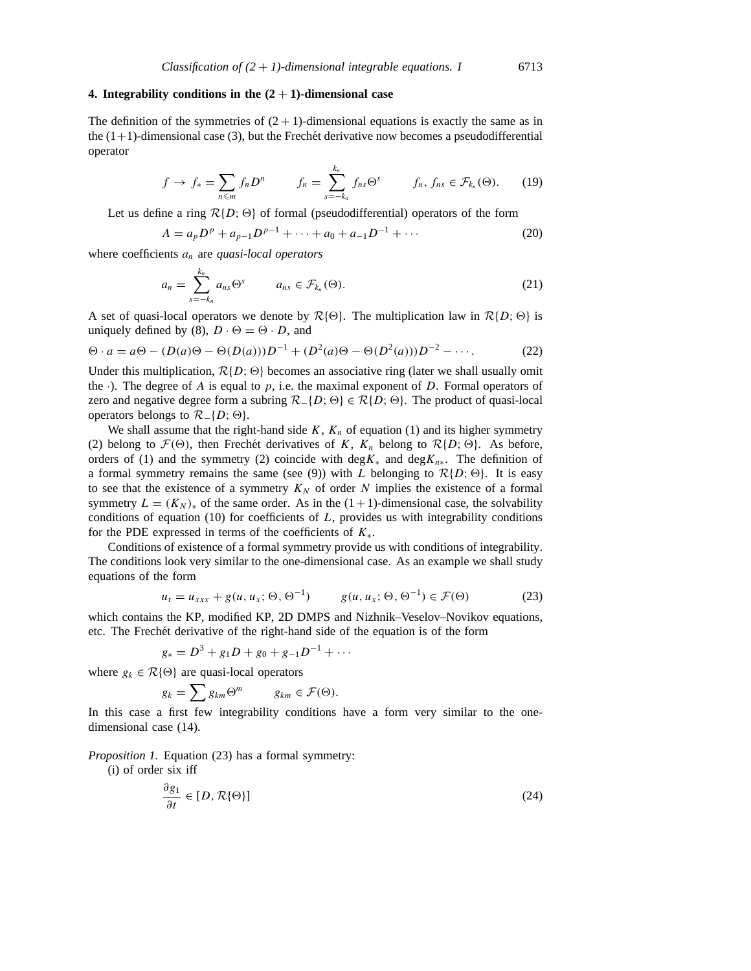# **4. Integrability conditions in the**  $(2 + 1)$ **-dimensional case**

The definition of the symmetries of  $(2 + 1)$ -dimensional equations is exactly the same as in the  $(1+1)$ -dimensional case (3), but the Frechet derivative now becomes a pseudodifferential operator

$$
f \to f_* = \sum_{n \leq m} f_n D^n \qquad f_n = \sum_{s=-k_n}^{k_n} f_{ns} \Theta^s \qquad f_n, f_{ns} \in \mathcal{F}_{k_n}(\Theta). \tag{19}
$$

Let us define a ring  $\mathcal{R}{D}$ ;  $\Theta$ } of formal (pseudodifferential) operators of the form

$$
A = a_p D^p + a_{p-1} D^{p-1} + \dots + a_0 + a_{-1} D^{-1} + \dots
$$
 (20)

where coefficients *an* are *quasi-local operators*

$$
a_n = \sum_{s=-k_n}^{k_n} a_{ns} \Theta^s \qquad a_{ns} \in \mathcal{F}_{k_n}(\Theta). \tag{21}
$$

A set of quasi-local operators we denote by  $\mathcal{R}\{\Theta\}$ . The multiplication law in  $\mathcal{R}\{D; \Theta\}$  is uniquely defined by (8),  $D \cdot \Theta = \Theta \cdot D$ , and

$$
\Theta \cdot a = a\Theta - (D(a)\Theta - \Theta(D(a)))D^{-1} + (D^2(a)\Theta - \Theta(D^2(a)))D^{-2} - \cdots. \tag{22}
$$

Under this multiplication,  $\mathcal{R}{D; \Theta}$  becomes an associative ring (later we shall usually omit the  $\cdot$ ). The degree of *A* is equal to *p*, i.e. the maximal exponent of *D*. Formal operators of zero and negative degree form a subring  $\mathcal{R}_\text{-}{D}$ ;  $\Theta$ }  $\in \mathcal{R}{D}$ ;  $\Theta$ }. The product of quasi-local operators belongs to  $\mathcal{R}_{-} \{D; \Theta\}.$ 

We shall assume that the right-hand side  $K$ ,  $K_n$  of equation (1) and its higher symmetry (2) belong to  $\mathcal{F}(\Theta)$ , then Frechét derivatives of K,  $K_n$  belong to  $\mathcal{R}{D;\Theta}$ . As before, orders of (1) and the symmetry (2) coincide with  $\deg K_*$  and  $\deg K_{n*}$ . The definition of a formal symmetry remains the same (see (9)) with *L* belonging to  $\mathcal{R}{D; \Theta}$ . It is easy to see that the existence of a symmetry  $K_N$  of order N implies the existence of a formal symmetry  $L = (K_N)_*$  of the same order. As in the  $(1+1)$ -dimensional case, the solvability conditions of equation (10) for coefficients of *L*, provides us with integrability conditions for the PDE expressed in terms of the coefficients of *K*∗.

Conditions of existence of a formal symmetry provide us with conditions of integrability. The conditions look very similar to the one-dimensional case. As an example we shall study equations of the form

$$
u_t = u_{xxx} + g(u, u_x; \Theta, \Theta^{-1}) \qquad g(u, u_x; \Theta, \Theta^{-1}) \in \mathcal{F}(\Theta)
$$
 (23)

which contains the KP, modified KP, 2D DMPS and Nizhnik–Veselov–Novikov equations, etc. The Frechet derivative of the right-hand side of the equation is of the form ´

$$
g_* = D^3 + g_1 D + g_0 + g_{-1} D^{-1} + \cdots
$$

where  $g_k \in \mathcal{R}\{\Theta\}$  are quasi-local operators

$$
g_k = \sum g_{km} \Theta^m \qquad g_{km} \in \mathcal{F}(\Theta).
$$

In this case a first few integrability conditions have a form very similar to the onedimensional case (14).

*Proposition 1.* Equation (23) has a formal symmetry:

(i) of order six iff

$$
\frac{\partial g_1}{\partial t} \in [D, \mathcal{R}\{\Theta\}]
$$
 (24)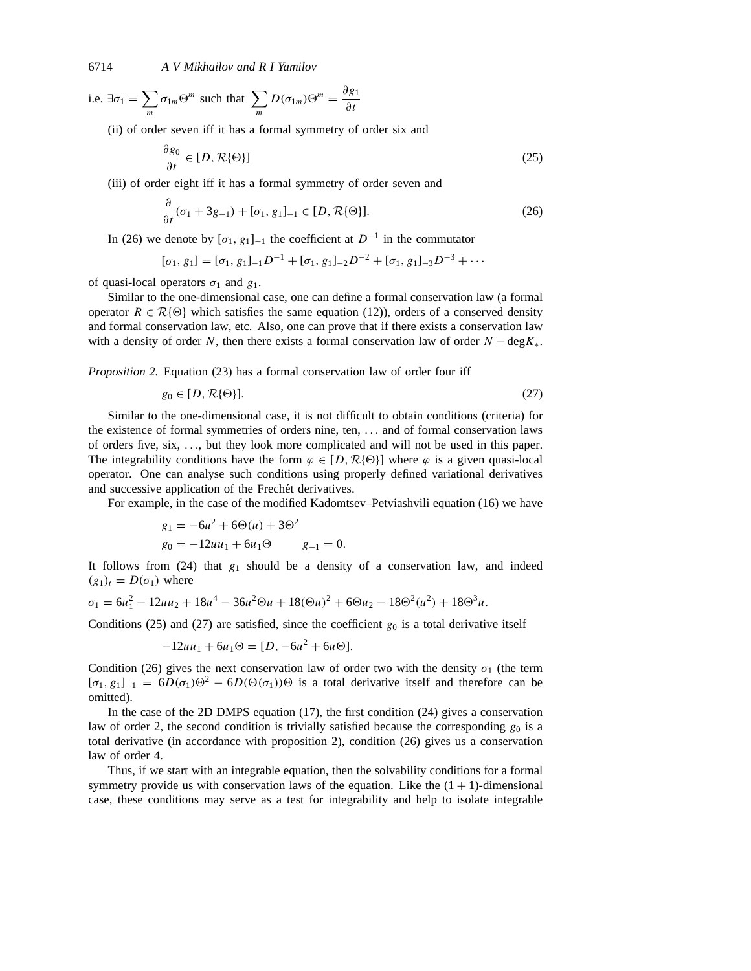i.e.  $\exists \sigma_1 = \sum$ *m*  $\sigma_{1m}\Theta^m$  such that  $\sum$ *m*  $D(\sigma_{1m})\Theta^m = \frac{\partial g_1}{\partial t}$ 

(ii) of order seven iff it has a formal symmetry of order six and

$$
\frac{\partial g_0}{\partial t} \in [D, \mathcal{R}\{\Theta\}]
$$
\n(25)

(iii) of order eight iff it has a formal symmetry of order seven and

$$
\frac{\partial}{\partial t}(\sigma_1 + 3g_{-1}) + [\sigma_1, g_1]_{-1} \in [D, \mathcal{R}\{\Theta\}].
$$
\n(26)

In (26) we denote by  $[\sigma_1, g_1]_{-1}$  the coefficient at  $D^{-1}$  in the commutator

$$
[\sigma_1, g_1] = [\sigma_1, g_1]_{-1} D^{-1} + [\sigma_1, g_1]_{-2} D^{-2} + [\sigma_1, g_1]_{-3} D^{-3} + \cdots
$$

of quasi-local operators  $\sigma_1$  and  $g_1$ .

Similar to the one-dimensional case, one can define a formal conservation law (a formal operator  $R \in \mathcal{R}{\Theta}$  which satisfies the same equation (12)), orders of a conserved density and formal conservation law, etc. Also, one can prove that if there exists a conservation law with a density of order *N*, then there exists a formal conservation law of order *N* − deg*K*∗.

*Proposition 2.* Equation (23) has a formal conservation law of order four iff

$$
g_0 \in [D, \mathcal{R}\{\Theta\}].
$$
 (27)

Similar to the one-dimensional case, it is not difficult to obtain conditions (criteria) for the existence of formal symmetries of orders nine, ten, *...* and of formal conservation laws of orders five, six, *...*, but they look more complicated and will not be used in this paper. The integrability conditions have the form  $\varphi \in [D, \mathcal{R}{\Theta}]$  where  $\varphi$  is a given quasi-local operator. One can analyse such conditions using properly defined variational derivatives and successive application of the Frechet derivatives.

For example, in the case of the modified Kadomtsev–Petviashvili equation (16) we have

$$
g_1 = -6u^2 + 6\Theta(u) + 3\Theta^2
$$
  
\n
$$
g_0 = -12uu_1 + 6u_1\Theta \qquad g_{-1} = 0.
$$

It follows from (24) that *g*<sup>1</sup> should be a density of a conservation law, and indeed  $(g_1)_t = D(\sigma_1)$  where

 $\sigma_1 = 6u_1^2 - 12uu_2 + 18u^4 - 36u^2\Theta u + 18(\Theta u)^2 + 6\Theta u_2 - 18\Theta^2(u^2) + 18\Theta^3 u.$ 

Conditions (25) and (27) are satisfied, since the coefficient  $g_0$  is a total derivative itself

$$
-12uu_1 + 6u_1\Theta = [D, -6u^2 + 6u\Theta].
$$

Condition (26) gives the next conservation law of order two with the density  $\sigma_1$  (the term  $[\sigma_1, g_1]_{-1} = 6D(\sigma_1)\Theta^2 - 6D(\Theta(\sigma_1))\Theta$  is a total derivative itself and therefore can be omitted).

In the case of the 2D DMPS equation (17), the first condition (24) gives a conservation law of order 2, the second condition is trivially satisfied because the corresponding  $g_0$  is a total derivative (in accordance with proposition 2), condition (26) gives us a conservation law of order 4.

Thus, if we start with an integrable equation, then the solvability conditions for a formal symmetry provide us with conservation laws of the equation. Like the  $(1 + 1)$ -dimensional case, these conditions may serve as a test for integrability and help to isolate integrable